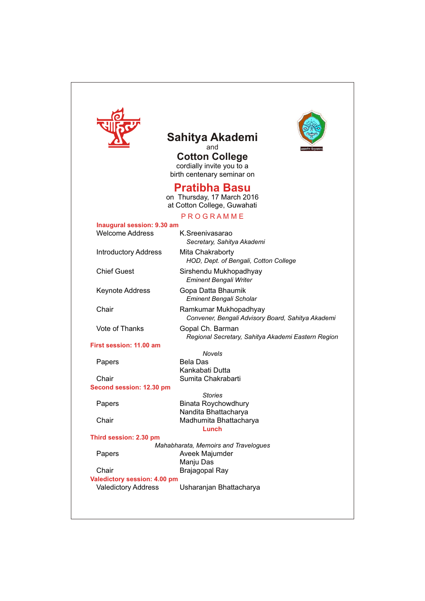

## **Sahitya Akademi** and

**Cotton College** cordially invite you to a birth centenary seminar on

## **Pratibha Basu**

on Thursday, 17 March 2016 at Cotton College, Guwahati

## **P R O G R A M M E**

| Inaugural session: 9.30 am   |                                                         |
|------------------------------|---------------------------------------------------------|
| <b>Welcome Address</b>       | K.Sreenivasarao                                         |
|                              | Secretary, Sahitya Akademi                              |
| <b>Introductory Address</b>  | Mita Chakraborty                                        |
|                              | HOD, Dept. of Bengali, Cotton College                   |
|                              |                                                         |
| <b>Chief Guest</b>           | Sirshendu Mukhopadhyay<br><b>Eminent Bengali Writer</b> |
| <b>Keynote Address</b>       | Gopa Datta Bhaumik                                      |
|                              | <b>Eminent Bengali Scholar</b>                          |
|                              |                                                         |
| Chair                        | Ramkumar Mukhopadhyay                                   |
|                              | Convener, Bengali Advisory Board, Sahitya Akademi       |
| Vote of Thanks               | Gopal Ch. Barman                                        |
|                              | Regional Secretary, Sahitya Akademi Eastern Region      |
| First session: 11.00 am      |                                                         |
|                              | <b>Novels</b>                                           |
| Papers                       | <b>Bela Das</b>                                         |
|                              | Kankabati Dutta                                         |
| Chair                        | Sumita Chakrabarti                                      |
| Second session: 12.30 pm     |                                                         |
|                              | <b>Stories</b>                                          |
| Papers                       | <b>Binata Roychowdhury</b>                              |
|                              | Nandita Bhattacharya                                    |
| Chair                        | Madhumita Bhattacharya                                  |
|                              | Lunch                                                   |
| Third session: 2.30 pm       |                                                         |
|                              | Mahabharata, Memoirs and Travelogues                    |
| Papers                       | Aveek Majumder                                          |
|                              | Manju Das                                               |
| Chair                        | Brajagopal Ray                                          |
| Valedictory session: 4.00 pm |                                                         |
| <b>Valedictory Address</b>   | Usharanjan Bhattacharya                                 |
|                              |                                                         |
|                              |                                                         |
|                              |                                                         |

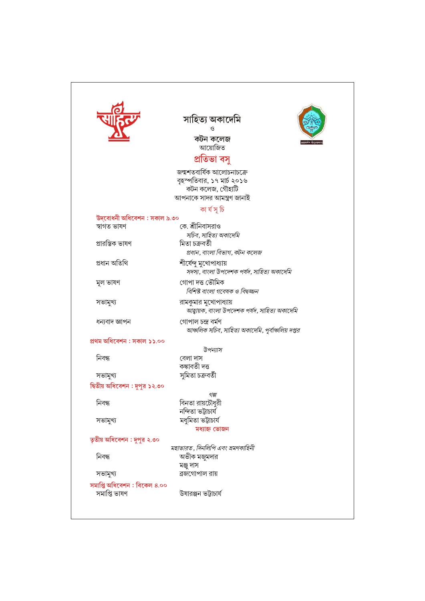|                                              | সাহিত্য অকাৰ্দেমি                                                        |
|----------------------------------------------|--------------------------------------------------------------------------|
|                                              | ও                                                                        |
|                                              | কটন কলেজ                                                                 |
|                                              | আয়োজিত                                                                  |
|                                              | প্ৰতিভা বসু                                                              |
|                                              | জন্মশতবাৰ্ষিক আলোচনাচক্ৰে                                                |
|                                              | বৃহস্পতিবার, ১৭ মার্চ ২০১৬                                               |
|                                              | কটন কলেজ, গৌহাটি                                                         |
|                                              | আপনাকে সাদর আমন্ত্রণ জানাই                                               |
|                                              | কা ৰ্য সূ চি                                                             |
| উদ্বোধনী অধিবেশন : সকাল ৯.৩০<br>স্বাগত ভাষণ  | কে. শ্রীনিবাসরাও                                                         |
|                                              | সচিব, সাহিত্য অকাদেমি                                                    |
| প্ৰারম্ভিক ভাষণ                              | মিতা চক্ৰবৰ্তী                                                           |
|                                              | প্রধান, বাংলা বিভাগ, কটন কলেজ                                            |
| প্ৰধান অতিথি                                 | শীর্ষেন্দু মুখোপাধ্যায়                                                  |
|                                              | সদস্য, বাংলা উপদেশক পর্যদ, সাহিত্য অকাদেমি                               |
| মূল ভাষণ                                     | গোপা দত্ত ভৌমিক                                                          |
|                                              | বিশিষ্ট বাংলা গবেষক ও বিদ্বজ্জন                                          |
| সভামুখ্য                                     | রামকুমার মুখোপাধ্যায়                                                    |
|                                              | আহ্বায়ক, বাংলা উপদেশক পর্যদ, সাহিত্য অকাদেমি                            |
| ধন্যবাদ জ্ঞাপন                               | গোপাল চন্দ্ৰ বৰ্মণ<br>আঞ্চলিক সচিব, সাহিত্য অকাদেমি, পূর্বাঞ্চলিয় দপ্তর |
| প্ৰথম অধিবেশন : সকাল ১১.০০                   |                                                                          |
|                                              | উপন্যাস                                                                  |
| নিবন্ধ                                       | বেলা দাস                                                                 |
|                                              | কঙ্কাবতী দত্ত                                                            |
| সভামুখ্য                                     | সুমিতা চক্ৰবৰ্তী                                                         |
| দ্বিতীয় অধিবেশন : দুপুর ১২.৩০               |                                                                          |
| নিবন্ধ                                       | গল্প                                                                     |
|                                              | বিনতা রায়চৌধুরী<br>নন্দিতা ভট্টাচাৰ্য                                   |
| সভামুখ্য                                     | মধুমিতা ভট্টাচাৰ্য                                                       |
|                                              | মধ্যাহ্ন ভোজন                                                            |
| তৃতীয় অধিবেশন : দুপুর ২.৩০                  |                                                                          |
|                                              | মহাভারত, দিনলিপি এবং ভ্রমণকাহিনী                                         |
| নিবন্ধ                                       | অভীক মজুমদার                                                             |
|                                              | মঞ্জু দাস<br>ব্রজগোপাল রায়                                              |
| সভামুখ্য                                     |                                                                          |
| সমাপ্তি অধিবেশন : বিকেল ৪.০০<br>সমাপ্তি ভাষণ | উষারঞ্জন ভট্টাচার্য                                                      |